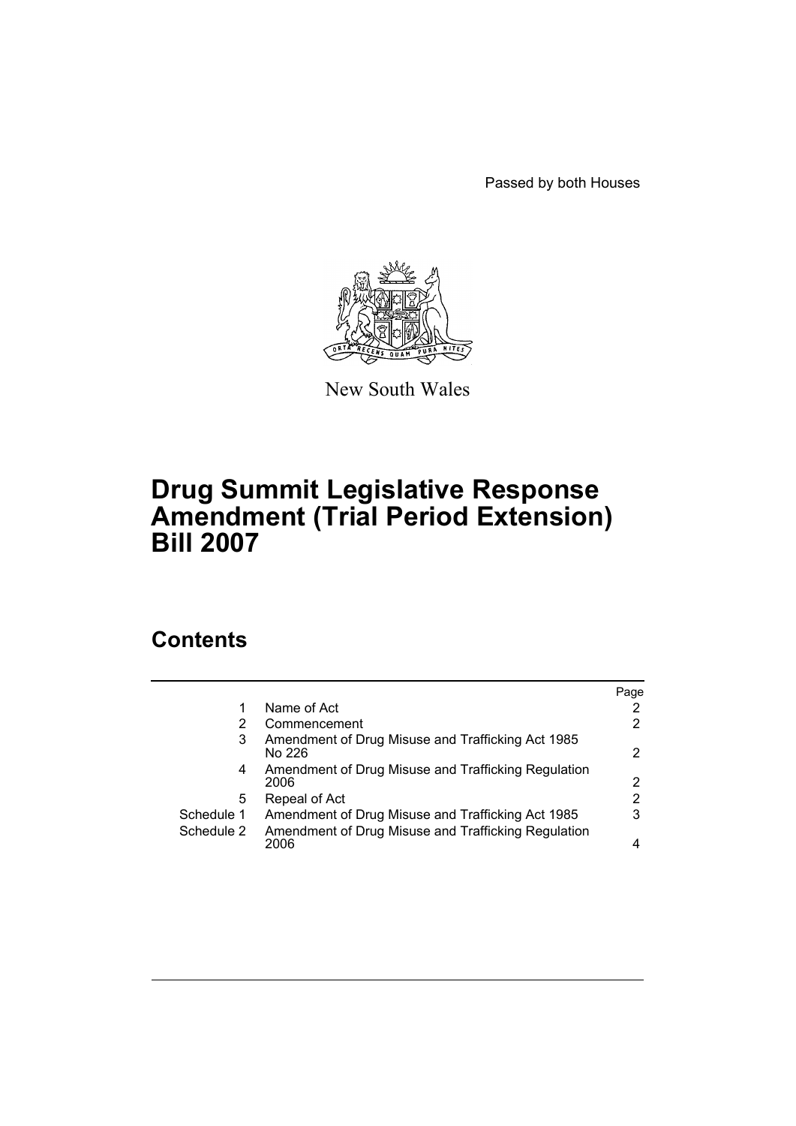Passed by both Houses



New South Wales

## **Drug Summit Legislative Response Amendment (Trial Period Extension) Bill 2007**

## **Contents**

|            |                                                             | Page |
|------------|-------------------------------------------------------------|------|
|            | Name of Act                                                 |      |
| 2          | Commencement                                                |      |
| 3          | Amendment of Drug Misuse and Trafficking Act 1985<br>No 226 | 2    |
| 4          | Amendment of Drug Misuse and Trafficking Regulation<br>2006 | 2    |
| 5          | Repeal of Act                                               | 2    |
| Schedule 1 | Amendment of Drug Misuse and Trafficking Act 1985           | 3    |
| Schedule 2 | Amendment of Drug Misuse and Trafficking Regulation<br>2006 | 4    |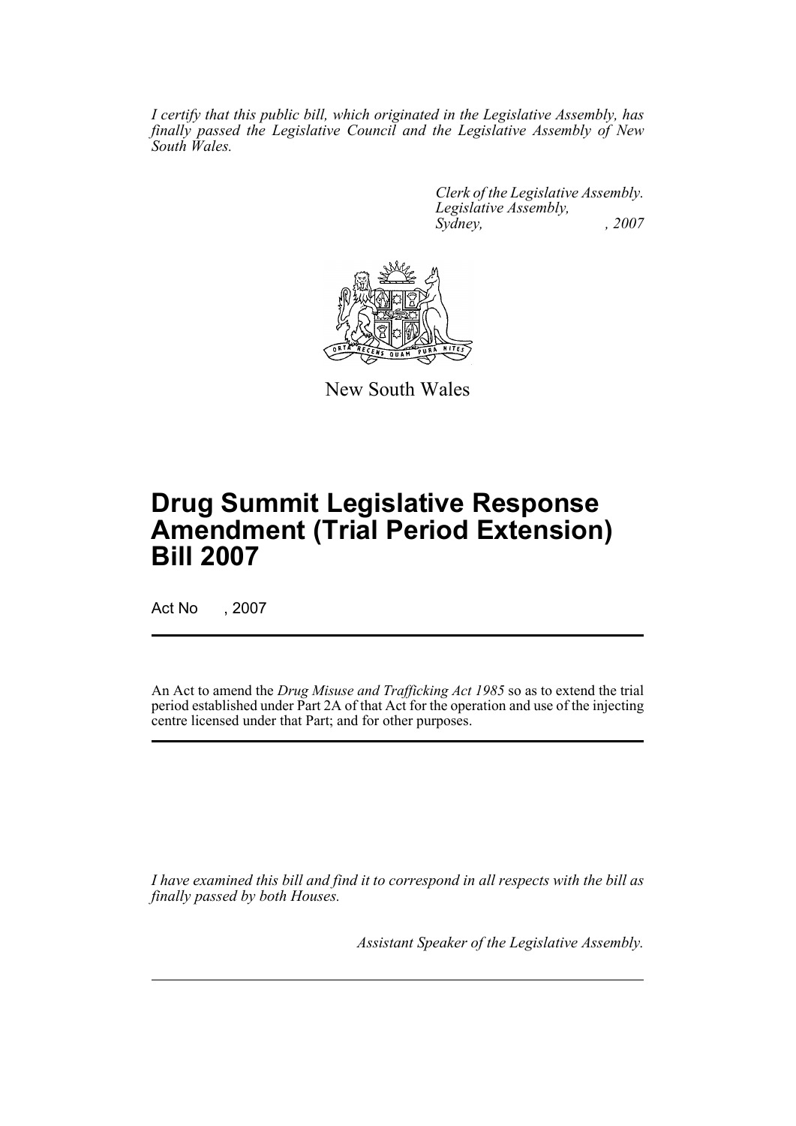*I certify that this public bill, which originated in the Legislative Assembly, has finally passed the Legislative Council and the Legislative Assembly of New South Wales.*

> *Clerk of the Legislative Assembly. Legislative Assembly, Sydney, , 2007*



New South Wales

# **Drug Summit Legislative Response Amendment (Trial Period Extension) Bill 2007**

Act No , 2007

An Act to amend the *Drug Misuse and Trafficking Act 1985* so as to extend the trial period established under Part 2A of that Act for the operation and use of the injecting centre licensed under that Part; and for other purposes.

*I have examined this bill and find it to correspond in all respects with the bill as finally passed by both Houses.*

*Assistant Speaker of the Legislative Assembly.*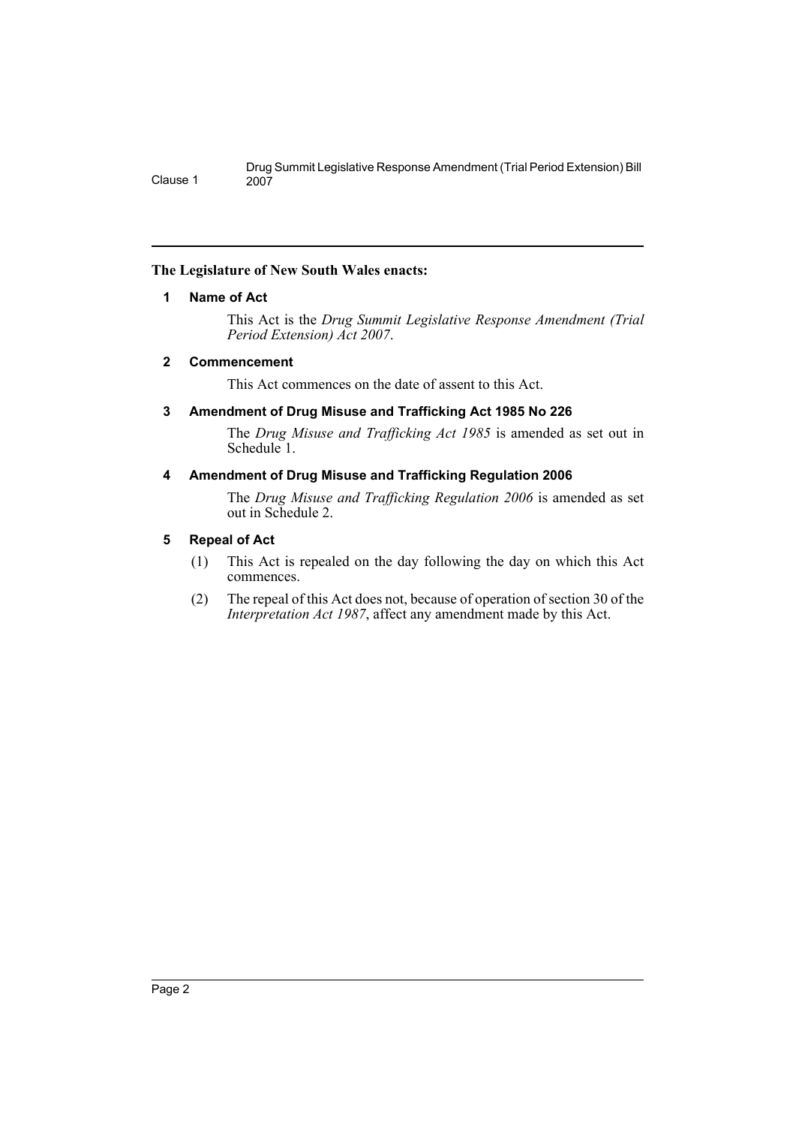### <span id="page-2-0"></span>**The Legislature of New South Wales enacts:**

### **1 Name of Act**

Clause 1

This Act is the *Drug Summit Legislative Response Amendment (Trial Period Extension) Act 2007*.

### <span id="page-2-1"></span>**2 Commencement**

This Act commences on the date of assent to this Act.

### <span id="page-2-2"></span>**3 Amendment of Drug Misuse and Trafficking Act 1985 No 226**

The *Drug Misuse and Trafficking Act 1985* is amended as set out in Schedule<sup>1</sup>.

### <span id="page-2-3"></span>**4 Amendment of Drug Misuse and Trafficking Regulation 2006**

The *Drug Misuse and Trafficking Regulation 2006* is amended as set out in Schedule 2.

### <span id="page-2-4"></span>**5 Repeal of Act**

- (1) This Act is repealed on the day following the day on which this Act commences.
- (2) The repeal of this Act does not, because of operation of section 30 of the *Interpretation Act 1987*, affect any amendment made by this Act.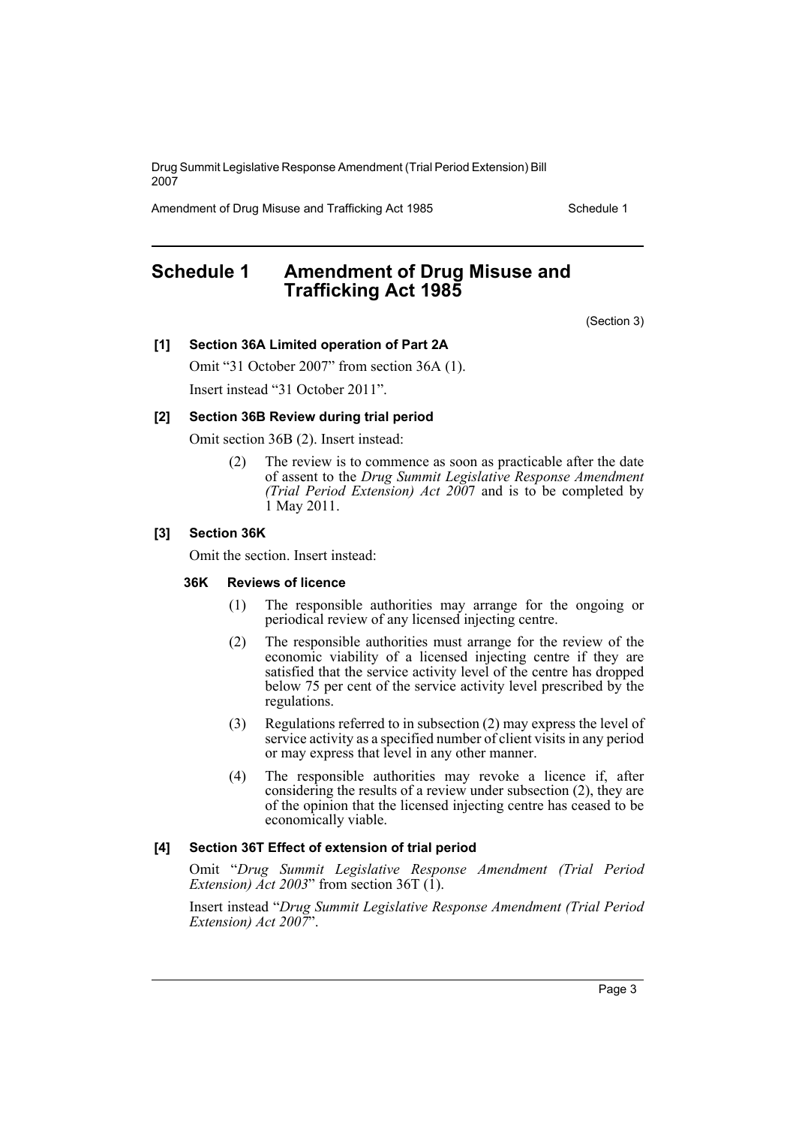Drug Summit Legislative Response Amendment (Trial Period Extension) Bill 2007

Amendment of Drug Misuse and Trafficking Act 1985 Schedule 1

### <span id="page-3-0"></span>**Schedule 1 Amendment of Drug Misuse and Trafficking Act 1985**

(Section 3)

### **[1] Section 36A Limited operation of Part 2A**

Omit "31 October 2007" from section 36A (1). Insert instead "31 October 2011".

### **[2] Section 36B Review during trial period**

Omit section 36B (2). Insert instead:

(2) The review is to commence as soon as practicable after the date of assent to the *Drug Summit Legislative Response Amendment (Trial Period Extension) Act 200*7 and is to be completed by 1 May 2011.

### **[3] Section 36K**

Omit the section. Insert instead:

### **36K Reviews of licence**

- (1) The responsible authorities may arrange for the ongoing or periodical review of any licensed injecting centre.
- (2) The responsible authorities must arrange for the review of the economic viability of a licensed injecting centre if they are satisfied that the service activity level of the centre has dropped below 75 per cent of the service activity level prescribed by the regulations.
- (3) Regulations referred to in subsection (2) may express the level of service activity as a specified number of client visits in any period or may express that level in any other manner.
- (4) The responsible authorities may revoke a licence if, after considering the results of a review under subsection (2), they are of the opinion that the licensed injecting centre has ceased to be economically viable.

#### **[4] Section 36T Effect of extension of trial period**

Omit "*Drug Summit Legislative Response Amendment (Trial Period Extension)*  $\overline{A}ct$  2003" from section 36T (1).

Insert instead "*Drug Summit Legislative Response Amendment (Trial Period Extension) Act 2007*".